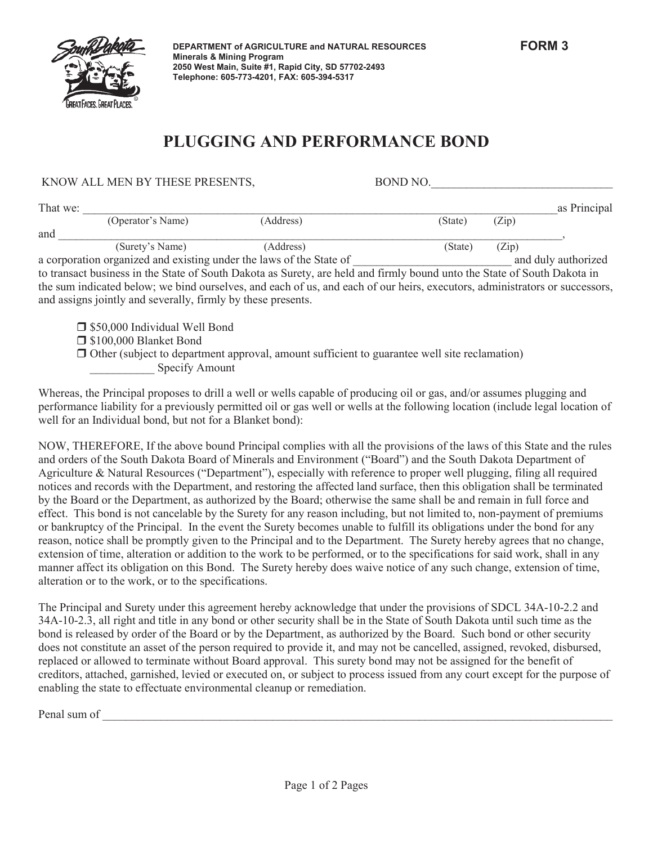

KNOW ALL MEN BY THESE PRESENTS FOR THE ROND NO.

## **PLUGGING AND PERFORMANCE BOND**

| KITO W TELE MET DI THEOLI KEOLITIO,                                 |                                                              |                                                                                                                             | DVIID 110. |       |                     |
|---------------------------------------------------------------------|--------------------------------------------------------------|-----------------------------------------------------------------------------------------------------------------------------|------------|-------|---------------------|
| That we:                                                            |                                                              |                                                                                                                             |            |       | as Principal        |
|                                                                     | (Operator's Name)                                            | (Address)                                                                                                                   | (State)    | (Zip) |                     |
| and                                                                 |                                                              |                                                                                                                             |            |       |                     |
|                                                                     | (Surety's Name)                                              | (Address)                                                                                                                   | (State)    | (Zip) |                     |
| a corporation organized and existing under the laws of the State of |                                                              |                                                                                                                             |            |       | and duly authorized |
|                                                                     |                                                              | to transact business in the State of South Dakota as Surety, are held and firmly bound unto the State of South Dakota in    |            |       |                     |
|                                                                     | and assigns jointly and severally, firmly by these presents. | the sum indicated below; we bind ourselves, and each of us, and each of our heirs, executors, administrators or successors, |            |       |                     |
|                                                                     | □ \$50,000 Individual Well Bond                              |                                                                                                                             |            |       |                     |
|                                                                     | □ \$100,000 Blanket Bond                                     |                                                                                                                             |            |       |                     |

- $\Box$  Other (subject to department approval, amount sufficient to guarantee well site reclamation)
	- Specify Amount

Whereas, the Principal proposes to drill a well or wells capable of producing oil or gas, and/or assumes plugging and performance liability for a previously permitted oil or gas well or wells at the following location (include legal location of well for an Individual bond, but not for a Blanket bond):

NOW, THEREFORE, If the above bound Principal complies with all the provisions of the laws of this State and the rules and orders of the South Dakota Board of Minerals and Environment ("Board") and the South Dakota Department of Agriculture & Natural Resources ("Department"), especially with reference to proper well plugging, filing all required notices and records with the Department, and restoring the affected land surface, then this obligation shall be terminated by the Board or the Department, as authorized by the Board; otherwise the same shall be and remain in full force and effect. This bond is not cancelable by the Surety for any reason including, but not limited to, non-payment of premiums or bankruptcy of the Principal. In the event the Surety becomes unable to fulfill its obligations under the bond for any reason, notice shall be promptly given to the Principal and to the Department. The Surety hereby agrees that no change, extension of time, alteration or addition to the work to be performed, or to the specifications for said work, shall in any manner affect its obligation on this Bond. The Surety hereby does waive notice of any such change, extension of time, alteration or to the work, or to the specifications.

The Principal and Surety under this agreement hereby acknowledge that under the provisions of SDCL 34A-10-2.2 and 34A-10-2.3, all right and title in any bond or other security shall be in the State of South Dakota until such time as the bond is released by order of the Board or by the Department, as authorized by the Board. Such bond or other security does not constitute an asset of the person required to provide it, and may not be cancelled, assigned, revoked, disbursed, replaced or allowed to terminate without Board approval. This surety bond may not be assigned for the benefit of creditors, attached, garnished, levied or executed on, or subject to process issued from any court except for the purpose of enabling the state to effectuate environmental cleanup or remediation.

Penal sum of